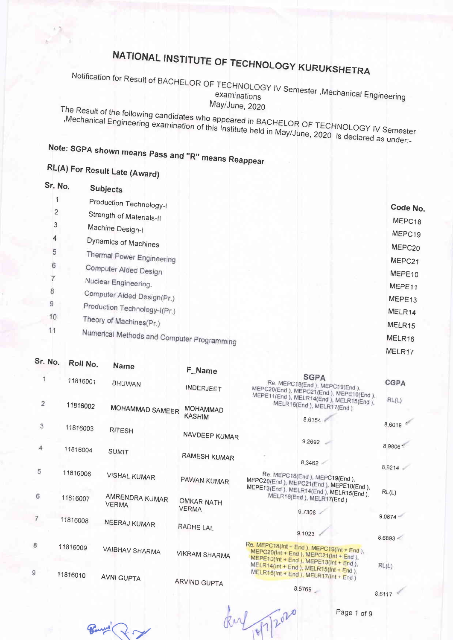Notification for Result of BACHELOR OF TECHNOLOGY IV Semester , Mechanical Engineering

May/June, 2020

The Result of the following candidates who appeared in BACHELOR OF TECHNOLOGY IV Semester Mechanical Engineering examination of this Institute held in May/June, 2020 is declared as under-

## Note: SGPA shown means Pass and "R" means Reappear

## RL(A) For Result Late (Award)

| Sr. No.        | <b>Subjects</b>                            |          |
|----------------|--------------------------------------------|----------|
|                | Production Technology-I                    |          |
| $\overline{2}$ | Strength of Materials-II                   | Code No. |
| 3              | Machine Design-I                           | MEPC18   |
| 4              | Dynamics of Machines                       | MEPC19   |
| 5              | Thermal Power Engineering                  | MEPC20   |
| 6              | Computer Aided Design                      | MEPC21   |
|                | Nuclear Engineering.                       | MEPE10   |
| 8              | Computer Aided Design(Pr.)                 | MEPE11   |
| $\overline{9}$ | Production Technology-I(Pr.)               | MEPE13   |
| 10             | Theory of Machines(Pr.)                    | MELR14   |
| 11             |                                            | MELR15   |
|                | Numerical Methods and Computer Programming | MELR16   |
|                |                                            | MELR17   |

| Sr. No.                   | Roll No. | <b>Name</b>                    | F_Name                           |                                                                                                                                                                          |             |
|---------------------------|----------|--------------------------------|----------------------------------|--------------------------------------------------------------------------------------------------------------------------------------------------------------------------|-------------|
| 1                         | 11816001 | <b>BHUWAN</b>                  | <b>INDERJEET</b>                 | <b>SGPA</b><br>Re. MEPC18(End), MEPC19(End),<br>MEPC20(End), MEPC21(End), MEPE10(End),                                                                                   | <b>CGPA</b> |
| $\overline{2}$            | 11816002 | MOHAMMAD SAMEER                | <b>MOHAMMAD</b><br><b>KASHIM</b> | MEPE11(End), MELR14(End), MELR15(End),<br>MELR16(End), MELR17(End)                                                                                                       | RL(L)       |
| 3                         | 11816003 | <b>RITESH</b>                  | NAVDEEP KUMAR                    | 8.6154                                                                                                                                                                   | 86019       |
| 4                         | 11816004 | <b>SUMIT</b>                   | <b>RAMESH KUMAR</b>              | 9.2692                                                                                                                                                                   | $8.9806*$   |
| 5                         | 11816006 | <b>VISHAL KUMAR</b>            | PAWAN KUMAR                      | 8.3462<br>Re. MEPC18(End), MEPC19(End),                                                                                                                                  | 8.6214      |
| 6                         | 11816007 | AMRENDRA KUMAR<br><b>VERMA</b> | <b>OMKAR NATH</b>                | MEPC20(End), MEPC21(End), MEPE10(End),<br>MEPE13(End), MELR14(End), MELR15(End),<br>MELR16(End), MELR17(End)                                                             | RL(L)       |
| $\overline{\mathfrak{c}}$ | 11816008 | NEERAJ KUMAR                   | <b>VERMA</b>                     | 9.7308                                                                                                                                                                   | $9.0874 -$  |
|                           |          |                                | RADHE LAL                        | 9.1923                                                                                                                                                                   | 8.6893 <    |
| 8                         | 11816009 | <b>VAIBHAV SHARMA</b>          | <b>VIKRAM SHARMA</b>             | Re. MEPC18(Int + End), MEPC19(Int + End),<br>MEPC20(Int + End ), MEPC21(Int + End ),<br>MEPE10(Int + End ), MEPE13(Int + End ),<br>MELR14(Int + End), MELR15(Int + End). | RL(L)       |
| 9                         | 11816010 | <b>AVNI GUPTA</b>              | <b>ARVIND GUPTA</b>              | MELR16(Int + End), MELR17(Int + End)<br>$8.5769$ .                                                                                                                       | $R$ $6117$  |

Bury Ry

dul 10/1/2020

Page 1 of 9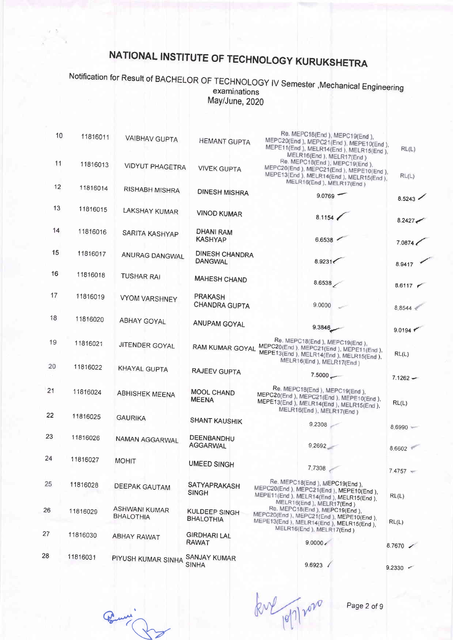#### Notification for Result of BACHELOR OF TECHNOLOGY IV Semester , Mechanical Engineering examinations May/June, 2020

| 10 | 11816011 | <b>VAIBHAV GUPTA</b>                     | <b>HEMANT GUPTA</b>                      | Re. MEPC18(End), MEPC19(End),<br>MEPC20(End), MEPC21(End), MEPE10(End),<br>MEPE11(End), MELR14(End), MELR15(End),                                                         | RL(L)        |
|----|----------|------------------------------------------|------------------------------------------|---------------------------------------------------------------------------------------------------------------------------------------------------------------------------|--------------|
| 11 | 11816013 | <b>VIDYUT PHAGETRA</b>                   | <b>VIVEK GUPTA</b>                       | MELR16(End), MELR17(End)<br>Re. MEPC18(End), MEPC19(End),<br>MEPC20(End), MEPC21(End), MEPE10(End),<br>MEPE13(End), MELR14(End), MELR15(End),<br>MELR16(End), MELR17(End) | RL(L)        |
| 12 | 11816014 | <b>RISHABH MISHRA</b>                    | <b>DINESH MISHRA</b>                     | 9.0769                                                                                                                                                                    | 8.5243       |
| 13 | 11816015 | <b>LAKSHAY KUMAR</b>                     | <b>VINOD KUMAR</b>                       | 8.1154                                                                                                                                                                    | 8.2427       |
| 14 | 11816016 | SARITA KASHYAP                           | DHANI RAM<br><b>KASHYAP</b>              | 6.6538                                                                                                                                                                    | 7.0874       |
| 15 | 11816017 | ANURAG DANGWAL                           | <b>DINESH CHANDRA</b><br><b>DANGWAL</b>  | 8.9231                                                                                                                                                                    | 8.9417       |
| 16 | 11816018 | <b>TUSHAR RAI</b>                        | <b>MAHESH CHAND</b>                      | 8.6538                                                                                                                                                                    | 8.6117       |
| 17 | 11816019 | <b>VYOM VARSHNEY</b>                     | <b>PRAKASH</b><br><b>CHANDRA GUPTA</b>   | 9.0000                                                                                                                                                                    | 8.8544       |
| 18 | 11816020 | <b>ABHAY GOYAL</b>                       | <b>ANUPAM GOYAL</b>                      | 9.3846                                                                                                                                                                    | 9.0194       |
| 19 | 11816021 | JITENDER GOYAL                           | RAM KUMAR GOYAL                          | Re. MEPC18(End), MEPC19(End),<br>MEPC20(End), MEPC21(End), MEPE11(End),<br>MEPE13(End), MELR14(End), MELR15(End),<br>MELR16(End), MELR17(End)                             | RL(L)        |
| 20 | 11816022 | <b>KHAYAL GUPTA</b>                      | RAJEEV GUPTA                             | $7.5000 -$                                                                                                                                                                | $7.1262 -$   |
| 21 | 11816024 | <b>ABHISHEK MEENA</b>                    | <b>MOOL CHAND</b><br><b>MEENA</b>        | Re. MEPC18(End), MEPC19(End),<br>MEPC20(End), MEPC21(End), MEPE10(End),<br>MEPE13(End), MELR14(End), MELR15(End),<br>MELR16(End), MELR17(End)                             | RL(L)        |
| 22 | 11816025 | <b>GAURIKA</b>                           | <b>SHANT KAUSHIK</b>                     | 9.2308                                                                                                                                                                    | 8.6990       |
| 23 | 11816026 | NAMAN AGGARWAL                           | DEENBANDHU<br><b>AGGARWAL</b>            | 9.2692                                                                                                                                                                    | 8.6602       |
| 24 | 11816027 | <b>MOHIT</b>                             | <b>UMEED SINGH</b>                       | 7.7308                                                                                                                                                                    | $7.4757$ $-$ |
| 25 | 11816028 | <b>DEEPAK GAUTAM</b>                     | SATYAPRAKASH<br><b>SINGH</b>             | Re. MEPC18(End), MEPC19(End),<br>MEPC20(End), MEPC21(End), MEPE10(End),<br>MEPE11(End), MELR14(End), MELR15(End),<br>MELR16(End), MELR17(End)                             | RL(L)        |
| 26 | 11816029 | <b>ASHWANI KUMAR</b><br><b>BHALOTHIA</b> | <b>KULDEEP SINGH</b><br><b>BHALOTHIA</b> | Re. MEPC18(End), MEPC19(End),<br>MEPC20(End), MEPC21(End), MEPE10(End),<br>MEPE13(End), MELR14(End), MELR15(End),                                                         | RL(L)        |
| 27 | 11816030 | <b>ABHAY RAWAT</b>                       | <b>GIRDHARI LAL</b><br><b>RAWAT</b>      | MELR16(End), MELR17(End)<br>$9.0000 \, \epsilon$                                                                                                                          | 8.7670       |
| 28 | 11816031 | PIYUSH KUMAR SINHA                       | SANJAY KUMAR<br><b>SINHA</b>             | 9.6923                                                                                                                                                                    | $9.2330 -$   |

Bumi

Put popper

Page 2 of 9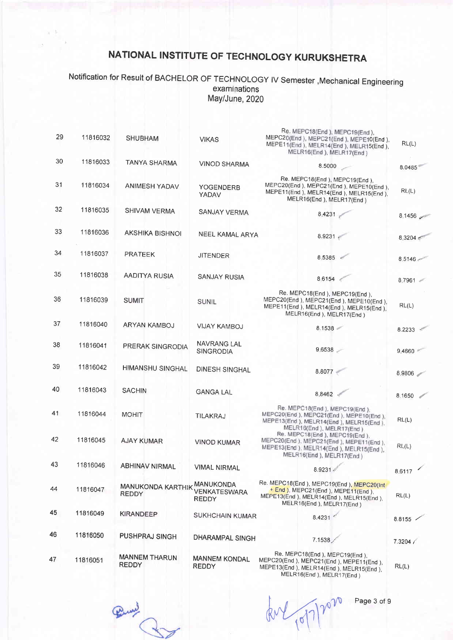#### Notification for Result of BACHELOR OF TECHNOLOGY IV Semester , Mechanical Engineering examinations May/June, 2020

| 29 | 11816032 | <b>SHUBHAM</b>                           | <b>VIKAS</b>                                     | Re. MEPC18(End), MEPC19(End),<br>MEPC20(End), MEPC21(End), MEPE10(End),<br>MEPE11(End), MELR14(End), MELR15(End),<br>MELR16(End), MELR17(End)          | RL(L)         |
|----|----------|------------------------------------------|--------------------------------------------------|--------------------------------------------------------------------------------------------------------------------------------------------------------|---------------|
| 30 | 11816033 | <b>TANYA SHARMA</b>                      | <b>VINOD SHARMA</b>                              | 8.5000                                                                                                                                                 | 8.0485        |
| 31 | 11816034 | ANIMESH YADAV                            | <b>YOGENDERB</b><br>YADAV                        | Re. MEPC18(End), MEPC19(End),<br>MEPC20(End), MEPC21(End), MEPE10(End),<br>MEPE11(End), MELR14(End), MELR15(End),<br>MELR16(End), MELR17(End)          | RL(L)         |
| 32 | 11816035 | <b>SHIVAM VERMA</b>                      | SANJAY VERMA                                     | 8.4231                                                                                                                                                 | 8.1456        |
| 33 | 11816036 | <b>AKSHIKA BISHNOI</b>                   | NEEL KAMAL ARYA                                  | 8.9231                                                                                                                                                 | $8.3204 \div$ |
| 34 | 11816037 | <b>PRATEEK</b>                           | <b>JITENDER</b>                                  | 8.5385                                                                                                                                                 | $8,5146 -$    |
| 35 | 11816038 | AADITYA RUSIA                            | <b>SANJAY RUSIA</b>                              | 8.6154                                                                                                                                                 | 8.7961        |
| 36 | 11816039 | <b>SUMIT</b>                             | <b>SUNIL</b>                                     | Re. MEPC18(End), MEPC19(End),<br>MEPC20(End), MEPC21(End), MEPE10(End),<br>MEPE11(End), MELR14(End), MELR15(End),<br>MELR16(End), MELR17(End)          | RL(L)         |
| 37 | 11816040 | <b>ARYAN KAMBOJ</b>                      | <b>VIJAY KAMBOJ</b>                              | 8.1538                                                                                                                                                 | 8.2233        |
| 38 | 11816041 | PRERAK SINGRODIA                         | <b>NAVRANG LAL</b><br><b>SINGRODIA</b>           | 9.6538                                                                                                                                                 | 9.4660        |
| 39 | 11816042 | <b>HIMANSHU SINGHAL</b>                  | DINESH SINGHAL                                   | 8.8077                                                                                                                                                 | 8.9806        |
| 40 | 11816043 | <b>SACHIN</b>                            | <b>GANGA LAL</b>                                 | 8.8462                                                                                                                                                 | 8.1650        |
| 41 | 11816044 | <b>MOHIT</b>                             | <b>TILAKRAJ</b>                                  | Re. MEPC18(End), MEPC19(End),<br>MEPC20(End), MEPC21(End), MEPE10(End),<br>MEPE13(End), MELR14(End), MELR15(End).<br>MELR16(End), MELR17(End)          | RL(L)         |
| 42 | 11816045 | <b>AJAY KUMAR</b>                        | <b>VINOD KUMAR</b>                               | Re. MEPC18(End), MEPC19(End),<br>MEPC20(End), MEPC21(End), MEPE11(End),<br>MEPE13(End), MELR14(End), MELR15(End),<br>MELR16(End), MELR17(End)          | RL(L)         |
| 43 | 11816046 | <b>ABHINAV NIRMAL</b>                    | <b>VIMAL NIRMAL</b>                              | 8.9231                                                                                                                                                 | 8.6117        |
| 44 | 11816047 | <b>MANUKONDA KARTHIK</b><br><b>REDDY</b> | MANUKONDA<br><b>VENKATESWARA</b><br><b>REDDY</b> | Re. MEPC18(End), MEPC19(End), MEPC20(Int<br>+ End ), MEPC21(End ), MEPE11(End ),<br>MEPE13(End), MELR14(End), MELR15(End),<br>MELR16(End), MELR17(End) | RL(L)         |
| 45 | 11816049 | KIRANDEEP                                | <b>SUKHCHAIN KUMAR</b>                           | 8.4231                                                                                                                                                 | 8.8155        |
| 46 | 11816050 | <b>PUSHPRAJ SINGH</b>                    | DHARAMPAL SINGH                                  | 7.1538                                                                                                                                                 | 7.3204 /      |
| 47 | 11816051 | <b>MANNEM THARUN</b><br><b>REDDY</b>     | <b>MANNEM KONDAL</b><br>REDDY                    | Re. MEPC18(End), MEPC19(End),<br>MEPC20(End), MEPC21(End), MEPE11(End),<br>MEPE13(End), MELR14(End), MELR15(End),<br>MELR16(End), MELR17(End)          | RL(L)         |

Bund Ry

Page 3 of 9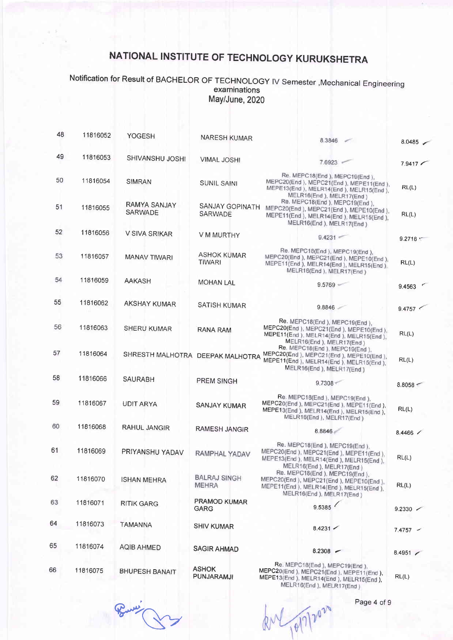#### Notification for Result of BACHELOR OF TECHNOLOGY IV Semester , Mechanical Engineering<br>examinations May/June, 2020

| 48 | 11816052 | <b>YOGESH</b>                    | <b>NARESH KUMAR</b>                 | 8.3846                                                                                                                                           |                 |
|----|----------|----------------------------------|-------------------------------------|--------------------------------------------------------------------------------------------------------------------------------------------------|-----------------|
|    |          |                                  |                                     |                                                                                                                                                  | 8.0485          |
| 49 | 11816053 | SHIVANSHU JOSHI                  | <b>VIMAL JOSHI</b>                  | 7.6923                                                                                                                                           | 7.9417          |
| 50 | 11816054 | <b>SIMRAN</b>                    | <b>SUNIL SAINI</b>                  | Re. MEPC18(End), MEPC19(End),<br>MEPC20(End), MEPC21(End), MEPE11(End),<br>MEPE13(End), MELR14(End), MELR15(End),<br>MELR16(End), MELR17(End)    | RL(L)           |
| 51 | 11816055 | RAMYA SANJAY<br>SARWADE          | SANJAY GOPINATH<br>SARWADE          | Re. MEPC18(End), MEPC19(End),<br>MEPC20(End), MEPC21(End), MEPE10(End),<br>MEPE11(End), MELR14(End), MELR15(End),<br>MELR16(End), MELR17(End)    | RL(L)           |
| 52 | 11816056 | <b>V SIVA SRIKAR</b>             | V M MURTHY                          | $9.4231 -$                                                                                                                                       | 9.2718          |
| 53 | 11816057 | MANAV TIWARI                     | <b>ASHOK KUMAR</b><br><b>TIWARI</b> | Re. MEPC18(End), MEPC19(End),<br>MEPC20(End), MEPC21(End), MEPE10(End),<br>MEPE11(End), MELR14(End), MELR15(End),<br>MELR16(End), MELR17(End)    | RL(L)           |
| 54 | 11816059 | <b>AAKASH</b>                    | <b>MOHAN LAL</b>                    | 9.5769                                                                                                                                           | 9.4563          |
| 55 | 11816062 | <b>AKSHAY KUMAR</b>              | <b>SATISH KUMAR</b>                 | 9.8846                                                                                                                                           | 9.4757          |
| 56 | 11816063 | SHERU KUMAR                      | <b>RANA RAM</b>                     | Re. MEPC18(End), MEPC19(End),<br>MEPC20(End), MEPC21(End), MEPE10(End),<br>MEPE11(End), MELR14(End), MELR15(End),<br>MELR16(End), MELR17(End)    | RL(L)           |
| 57 | 11816064 | SHRESTH MALHOTRA DEEPAK MALHOTRA |                                     | Re. MEPC18(End), MEPC19(End),<br>MEPC20(End ), MEPC21(End ), MEPE10(End ),<br>MEPE11(End), MELR14(End), MELR15(End),<br>MELR16(End), MELR17(End) | RL(L)           |
| 58 | 11816066 | <b>SAURABH</b>                   | <b>PREM SINGH</b>                   | 9.7308                                                                                                                                           | $8.8058$ $\sim$ |
| 59 | 11816067 | <b>UDIT ARYA</b>                 | <b>SANJAY KUMAR</b>                 | Re. MEPC18(End), MEPC19(End),<br>MEPC20(End), MEPC21(End), MEPE11(End),<br>MEPE13(End), MELR14(End), MELR15(End),<br>MELR16(End), MELR17(End)    | RL(L)           |
| 60 | 11816068 | RAHUL JANGIR                     | <b>RAMESH JANGIR</b>                | 8.8846                                                                                                                                           | 8.4466          |
| 61 | 11816069 | PRIYANSHU YADAV                  | RAMPHAL YADAV                       | Re. MEPC18(End), MEPC19(End),<br>MEPC20(End), MEPC21(End), MEPE11(End),<br>MEPE13(End), MELR14(End), MELR15(End),<br>MELR16(End), MELR17(End)    | RL(L)           |
| 62 | 11816070 | <b>ISHAN MEHRA</b>               | <b>BALRAJ SINGH</b><br><b>MEHRA</b> | Re. MEPC18(End), MEPC19(End),<br>MEPC20(End), MEPC21(End), MEPE10(End),<br>MEPE11(End), MELR14(End), MELR15(End),<br>MELR16(End), MELR17(End)    | RL(L)           |
| 63 | 11816071 | <b>RITIK GARG</b>                | PRAMOD KUMAR<br>GARG                | 9.5385                                                                                                                                           | $9.2330$ $\sim$ |
| 64 | 11816073 | <b>TAMANNA</b>                   | <b>SHIV KUMAR</b>                   | 8.4231                                                                                                                                           | $7.4757 -$      |
| 65 | 11816074 | <b>AQIB AHMED</b>                | <b>SAGIR AHMAD</b>                  | $8.2308$ $-$                                                                                                                                     | $8.4951$ $\sim$ |
| 66 | 11816075 | <b>BHUPESH BANAIT</b>            | <b>ASHOK</b><br><b>PUNJARAMJI</b>   | Re. MEPC18(End), MEPC19(End),<br>MEPC20(End), MEPC21(End), MEPE11(End),<br>MEPE13(End), MELR14(End), MELR15(End),<br>$MFI$ $D1B/End$ ) $MP$      | RL(L)           |

Runing

Page 4 of 9

10/7/2020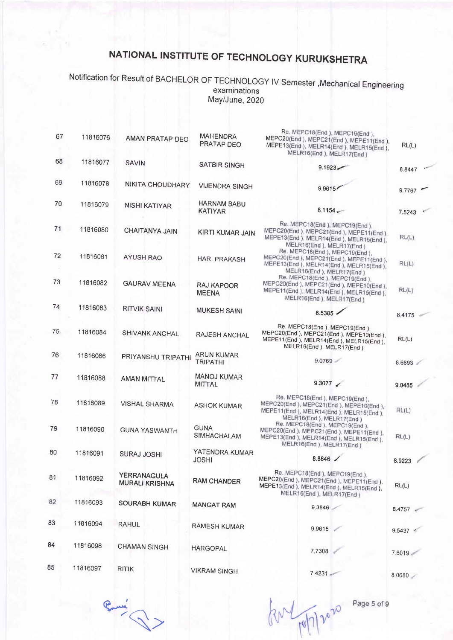Notification for Result of BACHELOR OF TECHNOLOGY IV Semester , Mechanical Engineering examinations May/June, 2020

| 67 | 11816076 | AMAN PRATAP DEO                             | MAHENDRA<br>PRATAP DEO               | Re. MEPC18(End), MEPC19(End),<br>MEPC20(End), MEPC21(End), MEPE11(End),<br>MEPE13(End), MELR14(End), MELR15(End),<br>MELR16(End), MELR17(End)   | RL(L)  |
|----|----------|---------------------------------------------|--------------------------------------|-------------------------------------------------------------------------------------------------------------------------------------------------|--------|
| 68 | 11816077 | <b>SAVIN</b>                                | <b>SATBIR SINGH</b>                  | 9.1923                                                                                                                                          | 8.8447 |
| 69 | 11816078 | <b>NIKITA CHOUDHARY</b>                     | <b>VIJENDRA SINGH</b>                | 9.9615                                                                                                                                          | 9.7767 |
| 70 | 11816079 | <b>NISHI KATIYAR</b>                        | <b>HARNAM BABU</b><br><b>KATIYAR</b> | 8.1154                                                                                                                                          | 7.5243 |
| 71 | 11816080 | CHAITANYA JAIN                              | <b>KIRTI KUMAR JAIN</b>              | Re. MEPC18(End), MEPC19(End),<br>MEPC20(End), MEPC21(End), MEPE11(End),<br>MEPE13(End), MELR14(End), MELR15(End),<br>MELR16(End), MELR17(End)   | RL(L)  |
| 72 | 11816081 | AYUSH RAO                                   | <b>HARI PRAKASH</b>                  | Re. MEPC18(End), MEPC19(End),<br>MEPC20(End), MEPC21(End), MEPE11(End),<br>MEPE13(End), MELR14(End), MELR15(End),<br>MELR16(End), MELR17(End)   | RL(L)  |
| 73 | 11816082 | <b>GAURAV MEENA</b>                         | <b>RAJ KAPOOR</b><br><b>MEENA</b>    | Re. MEPC18(End ), MEPC19(End ),<br>MEPC20(End), MEPC21(End), MEPE10(End),<br>MEPE11(End), MELR14(End), MELR15(End),<br>MELR16(End), MELR17(End) | RL(L)  |
| 74 | 11816083 | <b>RITVIK SAINI</b>                         | <b>MUKESH SAINI</b>                  | $8.5385 -$                                                                                                                                      | 8,4175 |
| 75 | 11816084 | SHIVANK ANCHAL                              | RAJESH ANCHAL                        | Re. MEPC18(End), MEPC19(End),<br>MEPC20(End), MEPC21(End), MEPE10(End),<br>MEPE11(End), MELR14(End), MELR15(End),<br>MELR16(End), MELR17(End)   | RL(L)  |
| 76 | 11816086 | PRIYANSHU TRIPATHI                          | ARUN KUMAR<br><b>TRIPATHI</b>        | 9.0769                                                                                                                                          | 8.6893 |
| 77 | 11816088 | <b>AMAN MITTAL</b>                          | <b>MANOJ KUMAR</b><br><b>MITTAL</b>  | 9.3077                                                                                                                                          | 9.0485 |
| 78 | 11816089 | <b>VISHAL SHARMA</b>                        | <b>ASHOK KUMAR</b>                   | Re. MEPC18(End), MEPC19(End),<br>MEPC20(End), MEPC21(End), MEPE10(End),<br>MEPE11(End), MELR14(End), MELR15(End),<br>MELR16(End), MELR17(End)   | RL(L)  |
| 79 | 11816090 | <b>GUNA YASWANTH</b>                        | <b>GUNA</b><br>SIMHACHALAM           | Re. MEPC18(End), MEPC19(End),<br>MEPC20(End), MEPC21(End), MEPE11(End),<br>MEPE13(End), MELR14(End), MELR15(End),<br>MELR16(End), MELR17(End)   | RL(L)  |
| 80 | 11816091 | <b>SURAJ JOSHI</b>                          | YATENDRA KUMAR<br><b>JOSHI</b>       | 8.8846                                                                                                                                          | 8.9223 |
| 81 | 11816092 | <b>YERRANAGULA</b><br><b>MURALI KRISHNA</b> | <b>RAM CHANDER</b>                   | Re. MEPC18(End), MEPC19(End),<br>MEPC20(End), MEPC21(End), MEPE11(End),<br>MEPE13(End), MELR14(End), MELR15(End),<br>MELR16(End), MELR17(End)   | RL(L)  |
| 82 | 11816093 | <b>SOURABH KUMAR</b>                        | <b>MANGAT RAM</b>                    | 9.3846                                                                                                                                          | 8.4757 |
| 83 | 11816094 | <b>RAHUL</b>                                | <b>RAMESH KUMAR</b>                  | 9.9615                                                                                                                                          | 9.5437 |
| 84 | 11816096 | <b>CHAMAN SINGH</b>                         | <b>HARGOPAL</b>                      | 7.7308                                                                                                                                          | 7.6019 |
| 85 | 11816097 | <b>RITIK</b>                                | <b>VIKRAM SINGH</b>                  | $7.4231 =$                                                                                                                                      | 8.0680 |
|    |          |                                             |                                      |                                                                                                                                                 |        |

 $\begin{picture}(220,20) \put(0,0){\line(1,0){15}} \put(15,0){\line(1,0){15}} \put(15,0){\line(1,0){15}} \put(15,0){\line(1,0){15}} \put(15,0){\line(1,0){15}} \put(15,0){\line(1,0){15}} \put(15,0){\line(1,0){15}} \put(15,0){\line(1,0){15}} \put(15,0){\line(1,0){15}} \put(15,0){\line(1,0){15}} \put(15,0){\line(1,0){15}} \put(15,0){\line($ 

 $10^{10}$   $10^{10}$  Page 5 of 9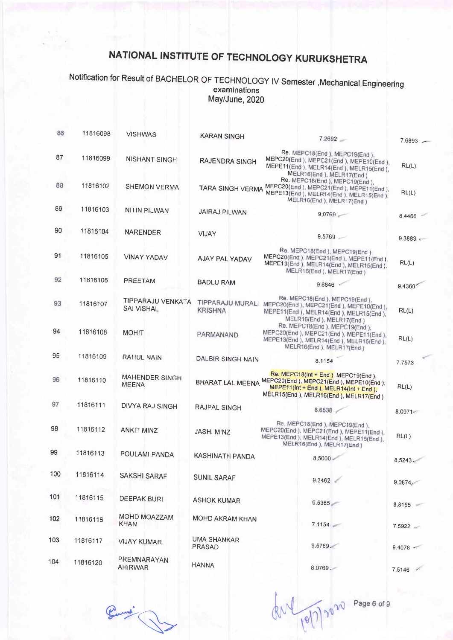#### Notification for Result of BACHELOR OF TECHNOLOGY IV Semester , Mechanical Engineering examinations May/June, 2020

86 11816098 **VISHWAS KARAN SINGH** 7.2692  $7.6893 -$ Re. MEPC18(End ), MEPC19(End ). MEPC20(End), MEPC21(End), MEPE10(End),<br>MEPE11(End), MELR14(End), MELR15(End), 87 11816099 **NISHANT SINGH** RAJENDRA SINGH  $RL(L)$ MELR16(End), MELR17(End) Re. MEPC18(End), MEPC19(End) TARA SINGH VERMA MEPC20(End ), MEPC21(End ), MEPE11(End ), 88 11816102 SHEMON VERMA MEPE13(End), MELR14(End), MELR15(End),  $RL(L)$ MELR16(End), MELR17(End) 89 11816103 **NITIN PILWAN JAIRAJ PILWAN**  $9.0769 -$ 8.4466 90 11816104 **NARENDER VIJAY**  $9.5769$  $9.3883 -$ Re. MEPC18(End), MEPC19(End), MEPC20(End), MEPC21(End), MEPE11(End),<br>MEPE13(End), MELR14(End), MELR15(End), 91 11816105 **VINAY YADAV AJAY PAL YADAV**  $RL(L)$ MELR16(End), MELR17(End) 92 11816106 PREETAM **BADLU RAM**  $9.8846$  $9.4369'$ Re. MEPC18(End ), MEPC19(End ), TIPPARAJU VENKATA TIPPARAJU MURALI MEPC20(End), MEPC21(End), MEPE10(End), 93 11816107 **SAI VISHAL KRISHNA** MEPE11(End), MELR14(End), MELR15(End),  $RL(L)$ MELR16(End), MELR17(End) Re. MEPC18(End), MEPC19(End), MEPC20(End), MEPC21(End), MEPE11(End),<br>MEPE13(End), MELR14(End), MELR15(End), 94 11816108 **MOHIT** PARMANAND  $RL(L)$ MELR16(End), MELR17(End) 95 11816109 **RAHUL NAIN DALBIR SINGH NAIN** 8.1154 7.7573 Re. MEPC18(Int + End ), MEPC19(End ), **MAHENDER SINGH** 96 11816110 MEPC20(End), MEPC21(End), MEPE10(End), **BHARAT LAL MEENA MEENA**  $RL(L)$ MEPE11(Int + End ), MELR14(Int + End ), MELR15(End), MELR16(End), MELR17(End) 97 11816111 **DIVYA RAJ SINGH** RAJPAL SINGH 8.6538  $8.0971 -$ Re. MEPC18(End), MEPC19(End), 98 11816112 MEPC20(End), MEPC21(End), MEPE11(End), **ANKIT MINZ JASHI MINZ** MEPE13(End), MELR14(End), MELR15(End),  $RL(L)$ MELR16(End), MELR17(End) 99 11816113 POULAMI PANDA **KASHINATH PANDA** 8.5000  $8.5243.$ 100 11816114 **SAKSHI SARAF SUNIL SARAF** 9.3462  $9.0874$ 101 11816115 **DEEPAK BURI ASHOK KUMAR** 9.5385 8.8155 MOHD MOAZZAM 102 11816116 **MOHD AKRAM KHAN KHAN**  $7.1154 7.5922$ 11816117 **UMA SHANKAR** 103 **VIJAY KUMAR PRASAD**  $9.5769$  $9.4078 -$ PREMNARAYAN 104 11816120 **HANNA AHIRWAR** 8.0769.  $7.5146$ 

Comme 12

Page 6 of 9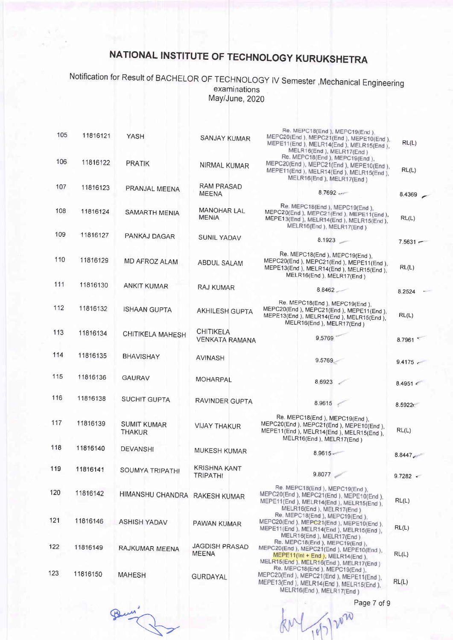### Notification for Result of BACHELOR OF TECHNOLOGY IV Semester , Mechanical Engineering examinations<br>May/June, 2020

| 105 | 11816121 | YASH                                | <b>SANJAY KUMAR</b>                       | Re. MEPC18(End), MEPC19(End),<br>MEPC20(End), MEPC21(End), MEPE10(End),<br>MEPE11(End), MELR14(End), MELR15(End),<br>MELR16(End), MELR17(End)         | RL(L)              |
|-----|----------|-------------------------------------|-------------------------------------------|-------------------------------------------------------------------------------------------------------------------------------------------------------|--------------------|
| 106 | 11816122 | <b>PRATIK</b>                       | NIRMAL KUMAR                              | Re. MEPC18(End), MEPC19(End),<br>MEPC20(End), MEPC21(End), MEPE10(End),<br>MEPE11(End), MELR14(End), MELR15(End),<br>MELR16(End), MELR17(End)         | RL(L)              |
| 107 | 11816123 | PRANJAL MEENA                       | RAM PRASAD<br><b>MEENA</b>                | 8.7692                                                                                                                                                | 8.4369             |
| 108 | 11816124 | <b>SAMARTH MENIA</b>                | <b>MANOHAR LAL</b><br><b>MENIA</b>        | Re. MEPC18(End), MEPC19(End),<br>MEPC20(End), MEPC21(End), MEPE11(End),<br>MEPE13(End), MELR14(End), MELR15(End),<br>MELR16(End), MELR17(End)         | RL(L)              |
| 109 | 11816127 | PANKAJ DAGAR                        | SUNIL YADAV                               | 8.1923                                                                                                                                                | $7.5631 -$         |
| 110 | 11816129 | MD AFROZ ALAM                       | <b>ABDUL SALAM</b>                        | Re. MEPC18(End), MEPC19(End),<br>MEPC20(End), MEPC21(End), MEPE11(End),<br>MEPE13(End), MELR14(End), MELR15(End),<br>MELR16(End), MELR17(End)         | RL(L)              |
| 111 | 11816130 | <b>ANKIT KUMAR</b>                  | RAJ KUMAR                                 | $8.8462 -$                                                                                                                                            | 8.2524             |
| 112 | 11816132 | <b>ISHAAN GUPTA</b>                 | AKHILESH GUPTA                            | Re. MEPC18(End), MEPC19(End),<br>MEPC20(End), MEPC21(End), MEPE11(End),<br>MEPE13(End), MELR14(End), MELR15(End),<br>MELR16(End), MELR17(End)         | RL(L)              |
| 113 | 11816134 | <b>CHITIKELA MAHESH</b>             | <b>CHITIKELA</b><br><b>VENKATA RAMANA</b> | 9.5769                                                                                                                                                | $8.7961$ $\degree$ |
| 114 | 11816135 | <b>BHAVISHAY</b>                    | <b>AVINASH</b>                            | 9.5769                                                                                                                                                | $9.4175 -$         |
| 115 | 11816136 | <b>GAURAV</b>                       | <b>MOHARPAL</b>                           | 8.6923                                                                                                                                                | 8.4951             |
| 116 | 11816138 | <b>SUCHIT GUPTA</b>                 | RAVINDER GUPTA                            | 8.9615                                                                                                                                                | 8.5922             |
| 117 | 11816139 | <b>SUMIT KUMAR</b><br><b>THAKUR</b> | <b>VIJAY THAKUR</b>                       | Re. MEPC18(End), MEPC19(End),<br>MEPC20(End), MEPC21(End), MEPE10(End),<br>MEPE11(End), MELR14(End), MELR15(End),<br>MELR16(End), MELR17(End)         | RL(L)              |
| 118 | 11816140 | <b>DEVANSHI</b>                     | MUKESH KUMAR                              | $8.9615 -$                                                                                                                                            | 8.8447             |
| 119 | 11816141 | <b>SOUMYA TRIPATHI</b>              | <b>KRISHNA KANT</b><br><b>TRIPATHI</b>    | 9.8077                                                                                                                                                | $9.7282$ $\leq$    |
| 120 | 11816142 | HIMANSHU CHANDRA RAKESH KUMAR       |                                           | Re. MEPC18(End), MEPC19(End),<br>MEPC20(End), MEPC21(End), MEPE10(End),<br>MEPE11(End), MELR14(End), MELR15(End),<br>MELR16(End), MELR17(End)         | RL(L)              |
| 121 | 11816146 | <b>ASHISH YADAV</b>                 | PAWAN KUMAR                               | Re. MEPC18(End), MEPC19(End),<br>MEPC20(End), MEPC21(End), MEPE10(End),<br>MEPE11(End), MELR14(End), MELR15(End),<br>MELR16(End), MELR17(End)         | RL(L)              |
| 122 | 11816149 | RAJKUMAR MEENA                      | <b>JAGDISH PRASAD</b><br>MEENA            | Re. MEPC18(End), MEPC19(End),<br>MEPC20(End), MEPC21(End), MEPE10(End),<br>MEPE11(Int + End ), MELR14(End ),<br>MELR15(End), MELR16(End), MELR17(End) | RL(L)              |
| 123 | 11816150 | <b>MAHESH</b>                       | <b>GURDAYAL</b>                           | Re. MEPC18(End), MEPC19(End),<br>MEPC20(End), MEPC21(End), MEPE11(End),<br>MEPE13(End), MELR14(End), MELR15(End),<br>MELR16(End), MELR17(End)         | RL(L)              |
|     |          |                                     |                                           | Page 7 of 9                                                                                                                                           |                    |

 $1017)2070$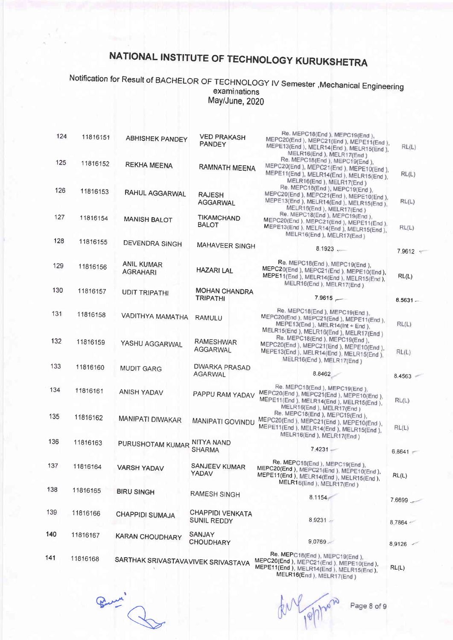#### Notification for Result of BACHELOR OF TECHNOLOGY IV Semester , Mechanical Engineering examinations May/June, 2020

| 124 | 11816151 | <b>ABHISHEK PANDEY</b>             | <b>VED PRAKASH</b><br><b>PANDEY</b>           | Re. MEPC18(End), MEPC19(End),<br>MEPC20(End), MEPC21(End), MEPE11(End),<br>MEPE13(End), MELR14(End), MELR15(End),<br>MELR16(End), MELR17(End)       | RL(L)       |
|-----|----------|------------------------------------|-----------------------------------------------|-----------------------------------------------------------------------------------------------------------------------------------------------------|-------------|
| 125 | 11816152 | <b>REKHA MEENA</b>                 | <b>RAMNATH MEENA</b>                          | Re. MEPC18(End), MEPC19(End),<br>MEPC20(End), MEPC21(End), MEPE10(End),<br>MEPE11(End), MELR14(End), MELR15(End),<br>MELR16(End), MELR17(End)       | RL(L)       |
| 126 | 11816153 | RAHUL AGGARWAL                     | <b>RAJESH</b><br><b>AGGARWAL</b>              | Re. MEPC18(End), MEPC19(End),<br>MEPC20(End), MEPC21(End), MEPE10(End),<br>MEPE13(End), MELR14(End), MELR15(End),<br>MELR16(End), MELR17(End)       | RL(L)       |
| 127 | 11816154 | <b>MANISH BALOT</b>                | <b>TIKAMCHAND</b><br><b>BALOT</b>             | Re. MEPC18(End), MEPC19(End),<br>MEPC20(End), MEPC21(End), MEPE11(End),<br>MEPE13(End), MELR14(End), MELR15(End),<br>MELR16(End), MELR17(End)       | RL(L)       |
| 128 | 11816155 | <b>DEVENDRA SINGH</b>              | MAHAVEER SINGH                                | $8.1923$ .                                                                                                                                          | 7.9612 *    |
| 129 | 11816156 | ANIL KUMAR<br><b>AGRAHARI</b>      | <b>HAZARI LAL</b>                             | Re. MEPC18(End), MEPC19(End),<br>MEPC20(End), MEPC21(End), MEPE10(End),<br>MEPE11(End), MELR14(End), MELR15(End),<br>MELR16(End), MELR17(End)       | RL(L)       |
| 130 | 11816157 | <b>UDIT TRIPATHI</b>               | <b>MOHAN CHANDRA</b><br><b>TRIPATHI</b>       | 7.9615                                                                                                                                              |             |
|     |          |                                    |                                               |                                                                                                                                                     | $8.5631 -$  |
| 131 | 11816158 | VADITHYA MAMATHA                   | RAMULU                                        | Re. MEPC18(End), MEPC19(End),<br>MEPC20(End), MEPC21(End), MEPE11(End),<br>MEPE13(End), MELR14(Int + End),<br>MELR15(End), MELR16(End), MELR17(End) | RL(L)       |
| 132 | 11816159 | YASHU AGGARWAL                     | <b>RAMESHWAR</b><br>AGGARWAL                  | Re. MEPC18(End), MEPC19(End),<br>MEPC20(End), MEPC21(End), MEPE10(End),<br>MEPE13(End), MELR14(End), MELR15(End),<br>MELR16(End), MELR17(End)       | RL(L)       |
| 133 | 11816160 | <b>MUDIT GARG</b>                  | <b>DWARKA PRASAD</b><br>AGARWAL               | 8.8462                                                                                                                                              | 8.4563      |
| 134 | 11816161 | ANISH YADAV                        | PAPPU RAM YADAV                               | Re. MEPC18(End), MEPC19(End),<br>MEPC20(End), MEPC21(End), MEPE10(End),<br>MEPE11(End), MELR14(End), MELR15(End),<br>MELR16(End), MELR17(End)       | RL(L)       |
| 135 | 11816162 | <b>MANIPATI DIWAKAR</b>            | MANIPATI GOVINDU                              | Re. MEPC18(End), MEPC19(End),<br>MEPC20(End), MEPC21(End), MEPE10(End),<br>MEPE11(End), MELR14(End), MELR15(End),<br>MELR16(End), MELR17(End)       | RL(L)       |
| 136 | 11816163 | PURUSHOTAM KUMAR                   | NITYA NAND<br><b>SHARMA</b>                   | $7.4231 -$                                                                                                                                          | $6.8641 -$  |
| 137 | 11816164 | <b>VARSH YADAV</b>                 | SANJEEV KUMAR<br>YADAV                        | Re. MEPC18(End), MEPC19(End),<br>MEPC20(End), MEPC21(End), MEPE10(End),<br>MEPE11(End), MELR14(End), MELR15(End),<br>MELR16(End), MELR17(End)       | RL(L)       |
| 138 | 11816165 | <b>BIRU SINGH</b>                  | <b>RAMESH SINGH</b>                           | 8.1154                                                                                                                                              | $7.6699 -$  |
| 139 | 11816166 | <b>CHAPPIDI SUMAJA</b>             | <b>CHAPPIDI VENKATA</b><br><b>SUNIL REDDY</b> | $8.9231 -$                                                                                                                                          | 8,7864      |
| 140 | 11816167 | <b>KARAN CHOUDHARY</b>             | SANJAY<br><b>CHOUDHARY</b>                    | $9.0769 -$                                                                                                                                          | 8.9126      |
| 141 | 11816168 | SARTHAK SRIVASTAVAVIVEK SRIVASTAVA |                                               | Re. MEPC18(End), MEPC19(End),<br>MEPC20(End), MEPC21(End), MEPE10(End),<br>MEDE11/End ) MELD14/5                                                    | <b>DIAY</b> |

1(End), MELR14(End), MELR15(End),<br>MELR16(End), MELR17(End)

Burn"

Page 8 of 9